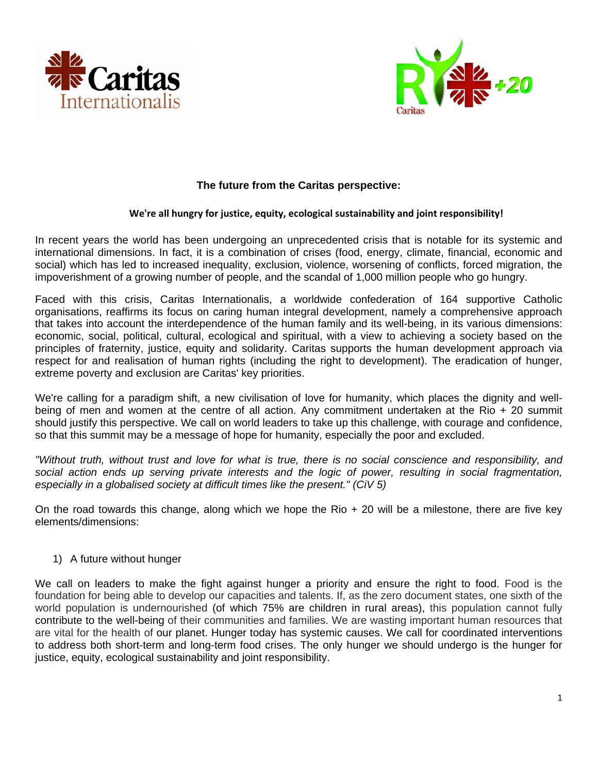



# **The future from the Caritas perspective:**

#### **We're all hungry for justice, equity, ecological sustainability and joint responsibility!**

In recent years the world has been undergoing an unprecedented crisis that is notable for its systemic and international dimensions. In fact, it is a combination of crises (food, energy, climate, financial, economic and social) which has led to increased inequality, exclusion, violence, worsening of conflicts, forced migration, the impoverishment of a growing number of people, and the scandal of 1,000 million people who go hungry.

Faced with this crisis, Caritas Internationalis, a worldwide confederation of 164 supportive Catholic organisations, reaffirms its focus on caring human integral development, namely a comprehensive approach that takes into account the interdependence of the human family and its well-being, in its various dimensions: economic, social, political, cultural, ecological and spiritual, with a view to achieving a society based on the principles of fraternity, justice, equity and solidarity. Caritas supports the human development approach via respect for and realisation of human rights (including the right to development). The eradication of hunger, extreme poverty and exclusion are Caritas' key priorities.

We're calling for a paradigm shift, a new civilisation of love for humanity, which places the dignity and wellbeing of men and women at the centre of all action. Any commitment undertaken at the Rio + 20 summit should justify this perspective. We call on world leaders to take up this challenge, with courage and confidence, so that this summit may be a message of hope for humanity, especially the poor and excluded.

*"Without truth, without trust and love for what is true, there is no social conscience and responsibility, and social action ends up serving private interests and the logic of power, resulting in social fragmentation, especially in a globalised society at difficult times like the present." (CiV 5)* 

On the road towards this change, along which we hope the Rio  $+20$  will be a milestone, there are five key elements/dimensions:

### 1) A future without hunger

We call on leaders to make the fight against hunger a priority and ensure the right to food. Food is the foundation for being able to develop our capacities and talents. If, as the zero document states, one sixth of the world population is undernourished (of which 75% are children in rural areas), this population cannot fully contribute to the well-being of their communities and families. We are wasting important human resources that are vital for the health of our planet. Hunger today has systemic causes. We call for coordinated interventions to address both short-term and long-term food crises. The only hunger we should undergo is the hunger for justice, equity, ecological sustainability and joint responsibility.